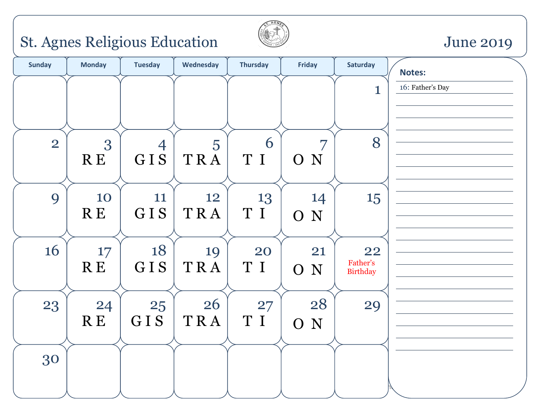# St. Agnes Religious Education Sune 2019



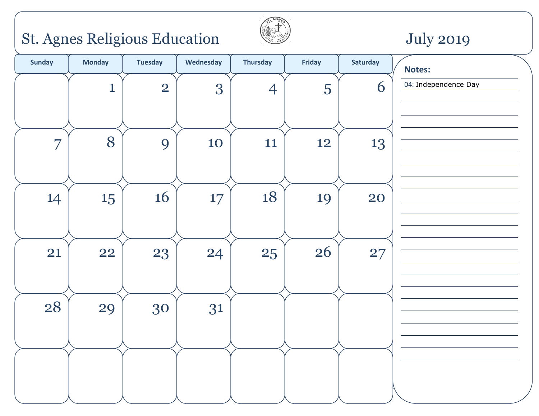# St. Agnes Religious Education July 2019



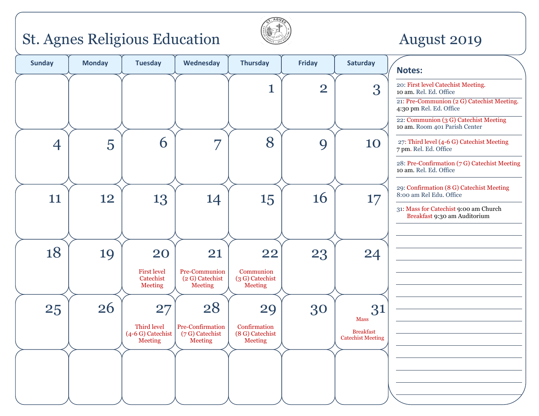### St. Agnes Religious Education Catechist Meeting August 2019



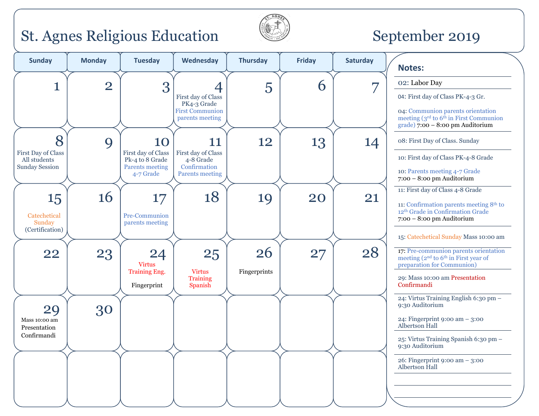### St. Agnes Religious Education September 2019



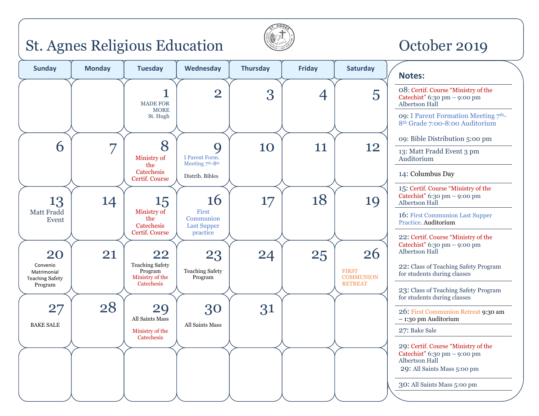### St. Agnes Religious Education October 2019



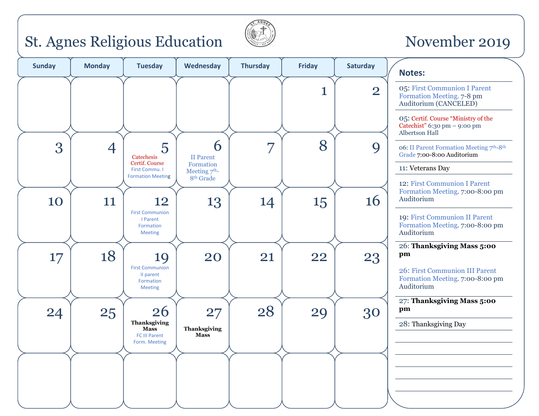# St. Agnes Religious Education  $\Box$  November 2019



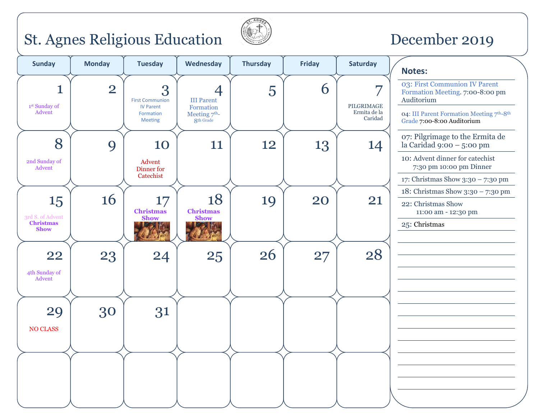# St. Agnes Religious Education  $\Box$  December 2019



| <b>Sunday</b>                              | <b>Monday</b>  | <b>Tuesday</b>                                                                 | Wednesday                                                           | <b>Thursday</b> | <b>Friday</b> | Saturday                                                          | <b>Notes:</b>                                                                                                                                            |
|--------------------------------------------|----------------|--------------------------------------------------------------------------------|---------------------------------------------------------------------|-----------------|---------------|-------------------------------------------------------------------|----------------------------------------------------------------------------------------------------------------------------------------------------------|
| 1<br>1st Sunday of<br>Advent               | $\overline{2}$ | 3<br><b>First Communion</b><br><b>IV Parent</b><br>Formation<br><b>Meeting</b> | 4<br><b>III Parent</b><br>Formation<br>Meeting $7th$ -<br>8th Grade | 5               | 6             | $\overline{\phantom{0}}$<br>PILGRIMAGE<br>Ermita de la<br>Caridad | 03: First Communion IV Parent<br>Formation Meeting. 7:00-8:00 pm<br>Auditorium<br>04: III Parent Formation Meeting 7th-8th<br>Grade 7:00-8:00 Auditorium |
| 8<br>2nd Sunday of                         | 9              | 10<br>Advent                                                                   | 11                                                                  | 12              | 13            | 14                                                                | 07: Pilgrimage to the Ermita de<br>la Caridad 9:00 – 5:00 pm<br>10: Advent dinner for catechist                                                          |
| Advent                                     |                | Dinner for<br>Catechist                                                        |                                                                     |                 |               |                                                                   | 7:30 pm 10:00 pm Dinner<br>17: Christmas Show 3:30 - 7:30 pm                                                                                             |
| 15<br>3rd S. of Advent<br><b>Christmas</b> | 16             | 17<br><b>Christmas</b><br><b>Show</b>                                          | 18<br><b>Christmas</b><br><b>Show</b>                               | 19              | 20            | 21                                                                | 18: Christmas Show 3:30 - 7:30 pm<br>22: Christmas Show<br>11:00 am - 12:30 pm<br>25: Christmas                                                          |
| <b>Show</b>                                |                |                                                                                |                                                                     |                 |               |                                                                   |                                                                                                                                                          |
| 22<br>4th Sunday of<br>Advent              | 23             | 24                                                                             | 25                                                                  | 26              | 27            | 28                                                                |                                                                                                                                                          |
|                                            |                |                                                                                |                                                                     |                 |               |                                                                   |                                                                                                                                                          |
| 29<br><b>NO CLASS</b>                      | 30             | 31                                                                             |                                                                     |                 |               |                                                                   |                                                                                                                                                          |
|                                            |                |                                                                                |                                                                     |                 |               |                                                                   |                                                                                                                                                          |
|                                            |                |                                                                                |                                                                     |                 |               |                                                                   |                                                                                                                                                          |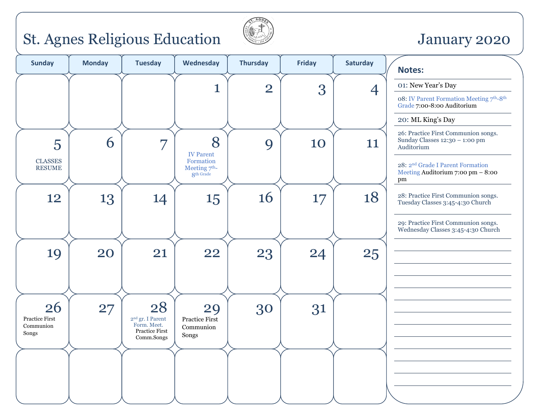### St. Agnes Religious Education January 2020



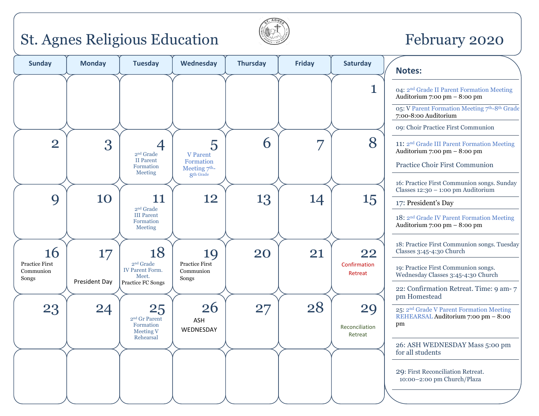### St. Agnes Religious Education February 2020



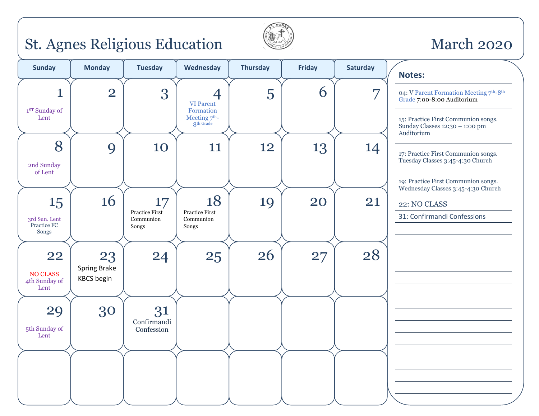### St. Agnes Religious Education March 2020



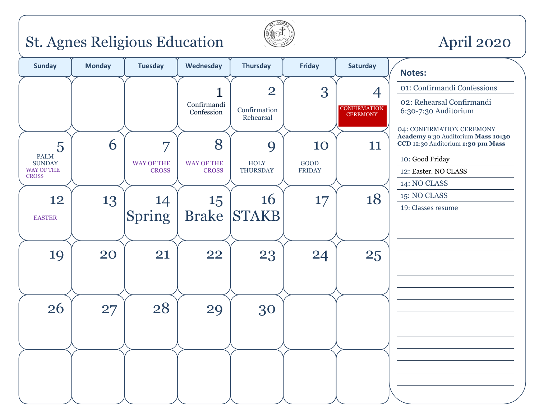# St. Agnes Religious Education **April 2020**



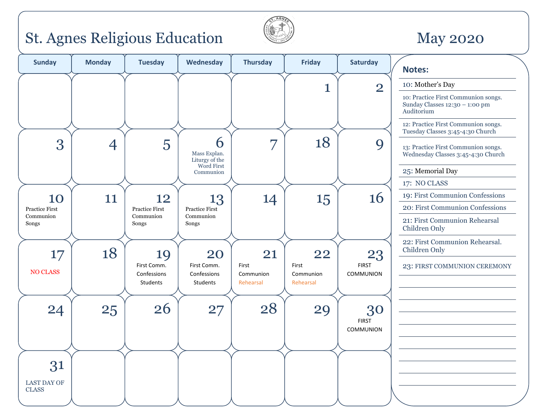### St. Agnes Religious Education **May 2020**



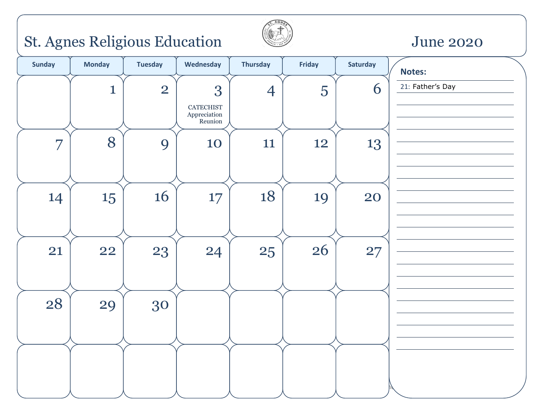# St. Agnes Religious Education June 2020



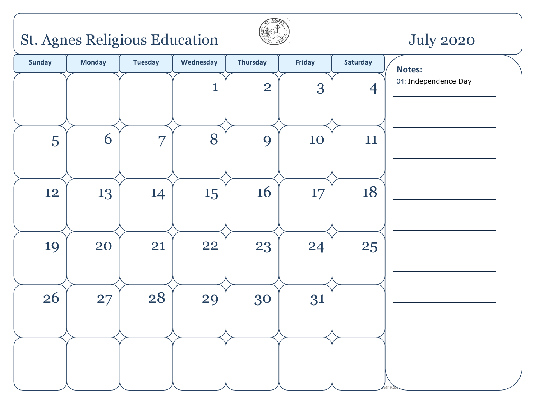# St. Agnes Religious Education July 2020



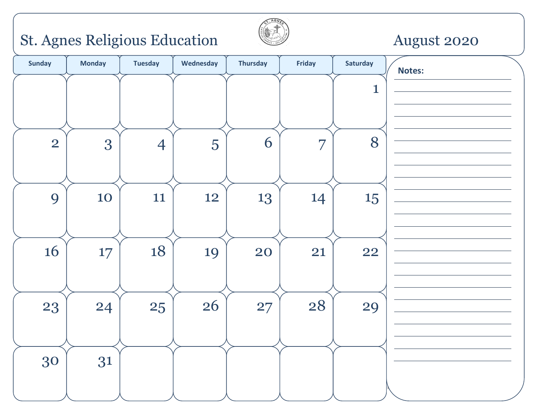# St. Agnes Religious Education **August 2020**